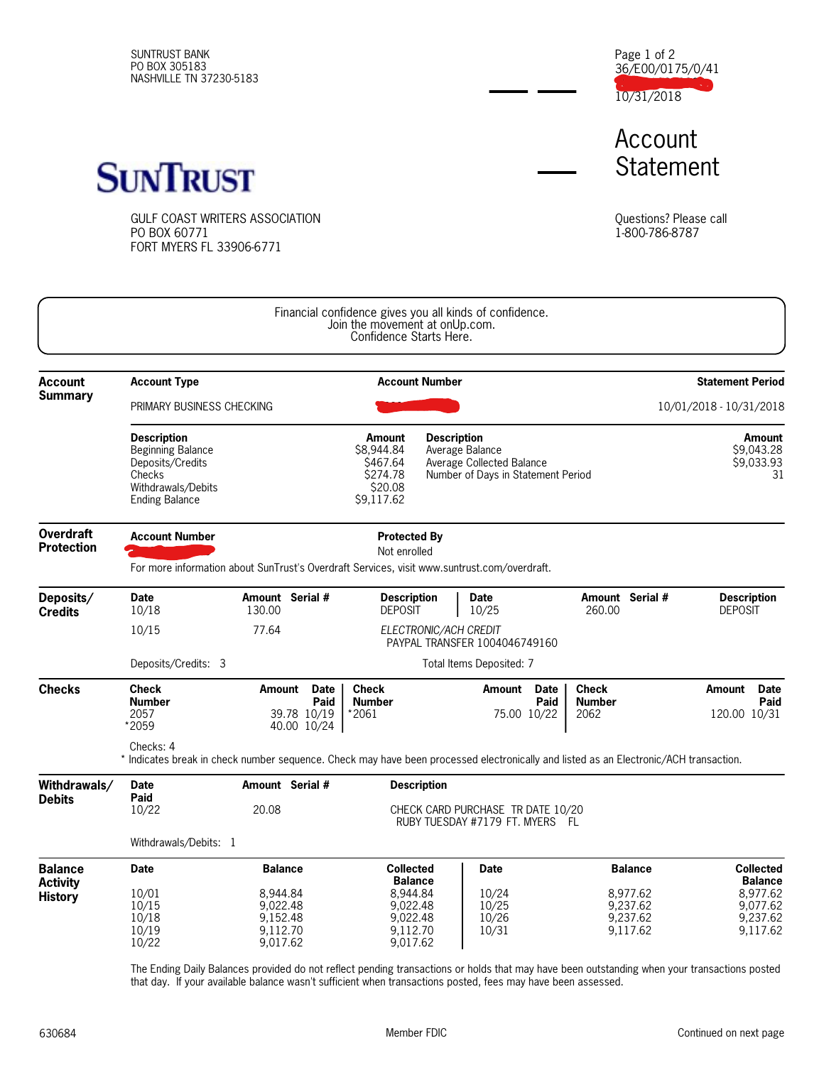SUNTRUST BANK PO BOX 305183 NASHVILLE TN 37230-5183 36/E00/0175/0/41 1000103683939 10/31/2018 Page 1 of 2

Account **Statement** 



GULF COAST WRITERS ASSOCIATION PO BOX 60771 FORT MYERS FL 33906-6771

Questions? Please call 1-800-786-8787

|                                       |                                                                                                                                                    |                                                                                                                                    | Financial confidence gives you all kinds of confidence.<br>Join the movement at onUp.com.<br>Confidence Starts Here. |                                                                                                          |                                  |                     |                                       |                                                 |                                                                |  |
|---------------------------------------|----------------------------------------------------------------------------------------------------------------------------------------------------|------------------------------------------------------------------------------------------------------------------------------------|----------------------------------------------------------------------------------------------------------------------|----------------------------------------------------------------------------------------------------------|----------------------------------|---------------------|---------------------------------------|-------------------------------------------------|----------------------------------------------------------------|--|
| <b>Account</b><br><b>Summary</b>      | <b>Account Type</b><br><b>Account Number</b>                                                                                                       |                                                                                                                                    |                                                                                                                      |                                                                                                          |                                  |                     |                                       |                                                 | <b>Statement Period</b>                                        |  |
|                                       | <b>PRIMARY BUSINESS CHECKING</b>                                                                                                                   |                                                                                                                                    |                                                                                                                      |                                                                                                          |                                  |                     |                                       | 10/01/2018 - 10/31/2018                         |                                                                |  |
|                                       | <b>Description</b><br><b>Beginning Balance</b><br>Deposits/Credits<br>Checks<br>Withdrawals/Debits<br><b>Ending Balance</b>                        |                                                                                                                                    | <b>Amount</b><br>\$8,944.84<br>\$467.64<br>\$274.78<br>\$20.08<br>\$9,117.62                                         | <b>Description</b><br>Average Balance<br>Average Collected Balance<br>Number of Days in Statement Period |                                  |                     |                                       | <b>Amount</b><br>\$9,043.28<br>\$9,033.93<br>31 |                                                                |  |
| <b>Overdraft</b><br><b>Protection</b> | <b>Account Number</b>                                                                                                                              | <b>Protected By</b><br>Not enrolled<br>For more information about SunTrust's Overdraft Services, visit www.suntrust.com/overdraft. |                                                                                                                      |                                                                                                          |                                  |                     |                                       |                                                 |                                                                |  |
| Deposits/<br><b>Credits</b>           | <b>Date</b><br>10/18                                                                                                                               | Amount Serial #<br>130.00                                                                                                          | <b>Description</b><br><b>DEPOSIT</b>                                                                                 |                                                                                                          | <b>Date</b><br>10/25             |                     | 260.00                                | Amount Serial #                                 | <b>Description</b><br><b>DEPOSIT</b>                           |  |
|                                       | 10/15                                                                                                                                              | 77.64<br>ELECTRONIC/ACH CREDIT<br>PAYPAL TRANSFER 1004046749160                                                                    |                                                                                                                      |                                                                                                          |                                  |                     |                                       |                                                 |                                                                |  |
|                                       | Deposits/Credits: 3                                                                                                                                | Total Items Deposited: 7                                                                                                           |                                                                                                                      |                                                                                                          |                                  |                     |                                       |                                                 |                                                                |  |
| <b>Checks</b>                         | <b>Check</b><br><b>Number</b><br>2057<br>*2059                                                                                                     | <b>Date</b><br>Amount<br>Paid<br>39.78 10/19<br>40.00 10/24                                                                        | <b>Check</b><br><b>Number</b><br>*2061                                                                               |                                                                                                          | Amount<br>75.00 10/22            | <b>Date</b><br>Paid | <b>Check</b><br><b>Number</b><br>2062 |                                                 | Amount<br><b>Date</b><br>Paid<br>120.00 10/31                  |  |
|                                       | Checks: 4<br>* Indicates break in check number sequence. Check may have been processed electronically and listed as an Electronic/ACH transaction. |                                                                                                                                    |                                                                                                                      |                                                                                                          |                                  |                     |                                       |                                                 |                                                                |  |
| Withdrawals/<br><b>Debits</b>         | <b>Date</b>                                                                                                                                        |                                                                                                                                    | <b>Description</b>                                                                                                   |                                                                                                          |                                  |                     |                                       |                                                 |                                                                |  |
|                                       | Paid<br>10/22                                                                                                                                      | 20.08                                                                                                                              | CHECK CARD PURCHASE TR DATE 10/20<br>RUBY TUESDAY #7179 FT. MYERS FL                                                 |                                                                                                          |                                  |                     |                                       |                                                 |                                                                |  |
|                                       | Withdrawals/Debits: 1                                                                                                                              |                                                                                                                                    |                                                                                                                      |                                                                                                          |                                  |                     |                                       |                                                 |                                                                |  |
| <b>Balance</b>                        | <b>Date</b>                                                                                                                                        | <b>Balance</b>                                                                                                                     | <b>Collected</b>                                                                                                     |                                                                                                          | <b>Date</b>                      |                     |                                       | <b>Balance</b>                                  | <b>Collected</b>                                               |  |
| <b>Activity</b><br><b>History</b>     | 10/01<br>10/15<br>10/18<br>10/19<br>10/22                                                                                                          | 8,944.84<br>9,022.48<br>9,152.48<br>9,112.70<br>9,017.62                                                                           | <b>Balance</b><br>8,944.84<br>9,022.48<br>9,022.48<br>9,112.70<br>9,017.62                                           |                                                                                                          | 10/24<br>10/25<br>10/26<br>10/31 |                     |                                       | 8,977.62<br>9,237.62<br>9,237.62<br>9,117.62    | <b>Balance</b><br>8,977.62<br>9,077.62<br>9,237.62<br>9,117.62 |  |

The Ending Daily Balances provided do not reflect pending transactions or holds that may have been outstanding when your transactions posted that day. If your available balance wasn't sufficient when transactions posted, fees may have been assessed.